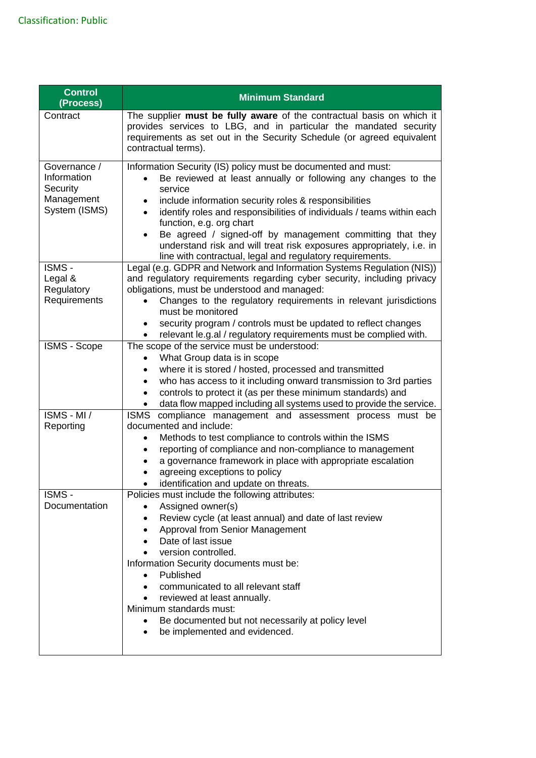| <b>Control</b><br>(Process)                                            | <b>Minimum Standard</b>                                                                                                                                                                                                                                                                                                                                                                                                                                                                                          |
|------------------------------------------------------------------------|------------------------------------------------------------------------------------------------------------------------------------------------------------------------------------------------------------------------------------------------------------------------------------------------------------------------------------------------------------------------------------------------------------------------------------------------------------------------------------------------------------------|
| Contract                                                               | The supplier must be fully aware of the contractual basis on which it<br>provides services to LBG, and in particular the mandated security<br>requirements as set out in the Security Schedule (or agreed equivalent<br>contractual terms).                                                                                                                                                                                                                                                                      |
| Governance /<br>Information<br>Security<br>Management<br>System (ISMS) | Information Security (IS) policy must be documented and must:<br>Be reviewed at least annually or following any changes to the<br>service<br>include information security roles & responsibilities<br>identify roles and responsibilities of individuals / teams within each<br>function, e.g. org chart<br>Be agreed / signed-off by management committing that they<br>understand risk and will treat risk exposures appropriately, i.e. in<br>line with contractual, legal and regulatory requirements.       |
| ISMS -<br>Legal &<br>Regulatory<br>Requirements                        | Legal (e.g. GDPR and Network and Information Systems Regulation (NIS))<br>and regulatory requirements regarding cyber security, including privacy<br>obligations, must be understood and managed:<br>Changes to the regulatory requirements in relevant jurisdictions<br>must be monitored<br>security program / controls must be updated to reflect changes<br>relevant le.g.al / regulatory requirements must be complied with.                                                                                |
| ISMS - Scope                                                           | The scope of the service must be understood:<br>What Group data is in scope<br>where it is stored / hosted, processed and transmitted<br>who has access to it including onward transmission to 3rd parties<br>controls to protect it (as per these minimum standards) and<br>data flow mapped including all systems used to provide the service.                                                                                                                                                                 |
| $ISMS - MI /$<br>Reporting                                             | <b>ISMS</b><br>compliance management and assessment process must be<br>documented and include:<br>Methods to test compliance to controls within the ISMS<br>reporting of compliance and non-compliance to management<br>a governance framework in place with appropriate escalation<br>agreeing exceptions to policy<br>identification and update on threats.                                                                                                                                                    |
| ISMS -<br>Documentation                                                | Policies must include the following attributes:<br>Assigned owner(s)<br>$\bullet$<br>Review cycle (at least annual) and date of last review<br>$\bullet$<br>Approval from Senior Management<br>Date of last issue<br>version controlled.<br>Information Security documents must be:<br>Published<br>communicated to all relevant staff<br>$\bullet$<br>reviewed at least annually.<br>$\bullet$<br>Minimum standards must:<br>Be documented but not necessarily at policy level<br>be implemented and evidenced. |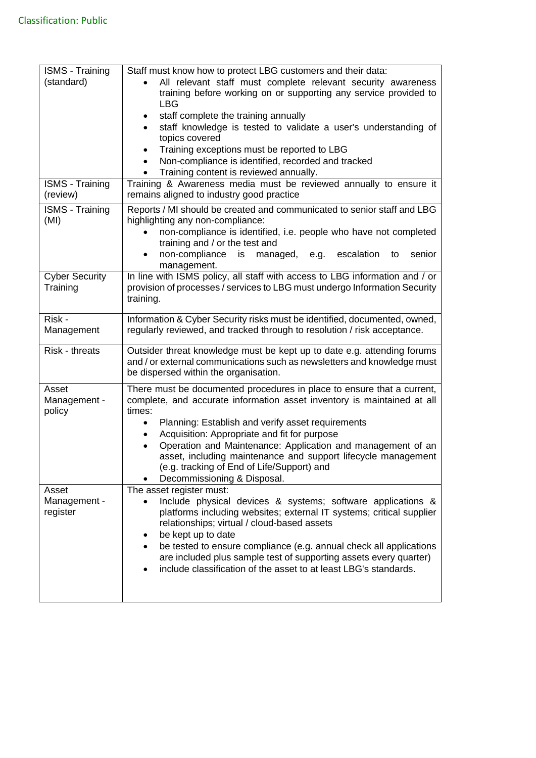| <b>ISMS</b> - Training | Staff must know how to protect LBG customers and their data:                                                                          |
|------------------------|---------------------------------------------------------------------------------------------------------------------------------------|
| (standard)             | All relevant staff must complete relevant security awareness                                                                          |
|                        | training before working on or supporting any service provided to                                                                      |
|                        | LBG                                                                                                                                   |
|                        | staff complete the training annually<br>٠                                                                                             |
|                        | staff knowledge is tested to validate a user's understanding of                                                                       |
|                        | topics covered                                                                                                                        |
|                        | Training exceptions must be reported to LBG<br>٠<br>Non-compliance is identified, recorded and tracked                                |
|                        | Training content is reviewed annually.                                                                                                |
| <b>ISMS - Training</b> | Training & Awareness media must be reviewed annually to ensure it                                                                     |
| (review)               | remains aligned to industry good practice                                                                                             |
| <b>ISMS - Training</b> | Reports / MI should be created and communicated to senior staff and LBG                                                               |
| (MI)                   | highlighting any non-compliance:                                                                                                      |
|                        | non-compliance is identified, i.e. people who have not completed                                                                      |
|                        | training and / or the test and                                                                                                        |
|                        | non-compliance<br>is managed,<br>e.g. escalation<br>senior<br>to                                                                      |
|                        | management.                                                                                                                           |
| <b>Cyber Security</b>  | In line with ISMS policy, all staff with access to LBG information and / or                                                           |
| Training               | provision of processes / services to LBG must undergo Information Security                                                            |
|                        | training.                                                                                                                             |
| Risk -                 | Information & Cyber Security risks must be identified, documented, owned,                                                             |
| Management             | regularly reviewed, and tracked through to resolution / risk acceptance.                                                              |
|                        |                                                                                                                                       |
| Risk - threats         | Outsider threat knowledge must be kept up to date e.g. attending forums                                                               |
|                        | and / or external communications such as newsletters and knowledge must                                                               |
|                        | be dispersed within the organisation.                                                                                                 |
| Asset                  | There must be documented procedures in place to ensure that a current,                                                                |
| Management -           | complete, and accurate information asset inventory is maintained at all                                                               |
| policy                 | times:                                                                                                                                |
|                        | Planning: Establish and verify asset requirements<br>$\bullet$                                                                        |
|                        | Acquisition: Appropriate and fit for purpose<br>Operation and Maintenance: Application and management of an                           |
|                        | asset, including maintenance and support lifecycle management                                                                         |
|                        | (e.g. tracking of End of Life/Support) and                                                                                            |
|                        | Decommissioning & Disposal.                                                                                                           |
| Asset                  | The asset register must:                                                                                                              |
| Management -           | Include physical devices & systems; software applications &                                                                           |
| register               | platforms including websites; external IT systems; critical supplier                                                                  |
|                        | relationships; virtual / cloud-based assets                                                                                           |
|                        | be kept up to date                                                                                                                    |
|                        | be tested to ensure compliance (e.g. annual check all applications                                                                    |
|                        | are included plus sample test of supporting assets every quarter)<br>include classification of the asset to at least LBG's standards. |
|                        |                                                                                                                                       |
|                        |                                                                                                                                       |
|                        |                                                                                                                                       |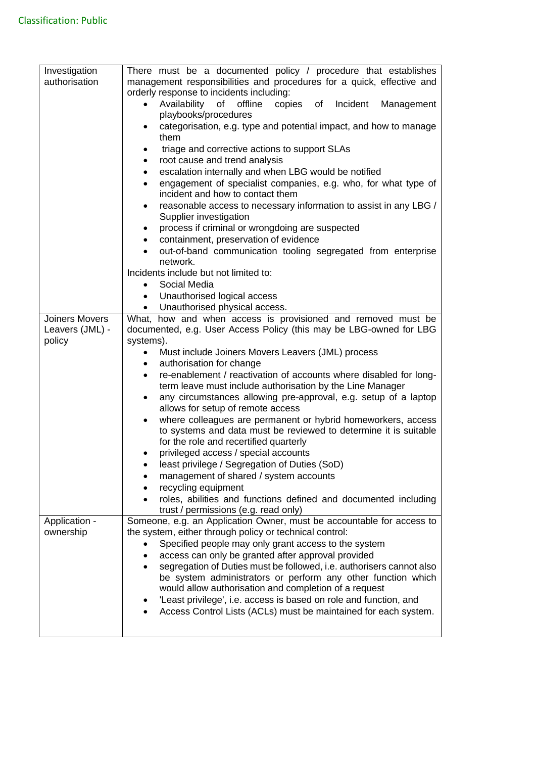| Investigation         | There must be a documented policy / procedure that establishes                                                  |
|-----------------------|-----------------------------------------------------------------------------------------------------------------|
| authorisation         | management responsibilities and procedures for a quick, effective and                                           |
|                       | orderly response to incidents including:                                                                        |
|                       | Availability of<br>copies of<br>Incident<br>offline<br>Management<br>$\bullet$                                  |
|                       | playbooks/procedures                                                                                            |
|                       | categorisation, e.g. type and potential impact, and how to manage                                               |
|                       | them                                                                                                            |
|                       |                                                                                                                 |
|                       | triage and corrective actions to support SLAs<br>$\bullet$                                                      |
|                       | root cause and trend analysis<br>$\bullet$                                                                      |
|                       | escalation internally and when LBG would be notified<br>$\bullet$                                               |
|                       | engagement of specialist companies, e.g. who, for what type of<br>$\bullet$<br>incident and how to contact them |
|                       |                                                                                                                 |
|                       | reasonable access to necessary information to assist in any LBG /<br>$\bullet$                                  |
|                       | Supplier investigation                                                                                          |
|                       | process if criminal or wrongdoing are suspected<br>$\bullet$                                                    |
|                       | containment, preservation of evidence                                                                           |
|                       | out-of-band communication tooling segregated from enterprise<br>network.                                        |
|                       | Incidents include but not limited to:                                                                           |
|                       | Social Media<br>$\bullet$                                                                                       |
|                       | Unauthorised logical access<br>$\bullet$                                                                        |
|                       | Unauthorised physical access.<br>$\bullet$                                                                      |
| <b>Joiners Movers</b> | What, how and when access is provisioned and removed must be                                                    |
| Leavers (JML) -       | documented, e.g. User Access Policy (this may be LBG-owned for LBG                                              |
| policy                | systems).                                                                                                       |
|                       | Must include Joiners Movers Leavers (JML) process                                                               |
|                       | authorisation for change<br>$\bullet$                                                                           |
|                       | re-enablement / reactivation of accounts where disabled for long-<br>$\bullet$                                  |
|                       | term leave must include authorisation by the Line Manager                                                       |
|                       | any circumstances allowing pre-approval, e.g. setup of a laptop<br>$\bullet$                                    |
|                       | allows for setup of remote access                                                                               |
|                       | where colleagues are permanent or hybrid homeworkers, access<br>$\bullet$                                       |
|                       | to systems and data must be reviewed to determine it is suitable                                                |
|                       | for the role and recertified quarterly                                                                          |
|                       | privileged access / special accounts                                                                            |
|                       | least privilege / Segregation of Duties (SoD)                                                                   |
|                       | management of shared / system accounts                                                                          |
|                       | recycling equipment<br>٠                                                                                        |
|                       | roles, abilities and functions defined and documented including                                                 |
|                       | trust / permissions (e.g. read only)                                                                            |
| Application -         | Someone, e.g. an Application Owner, must be accountable for access to                                           |
| ownership             | the system, either through policy or technical control:                                                         |
|                       | Specified people may only grant access to the system                                                            |
|                       | access can only be granted after approval provided                                                              |
|                       | segregation of Duties must be followed, i.e. authorisers cannot also                                            |
|                       | be system administrators or perform any other function which                                                    |
|                       | would allow authorisation and completion of a request                                                           |
|                       | 'Least privilege', i.e. access is based on role and function, and                                               |
|                       | Access Control Lists (ACLs) must be maintained for each system.                                                 |
|                       |                                                                                                                 |
|                       |                                                                                                                 |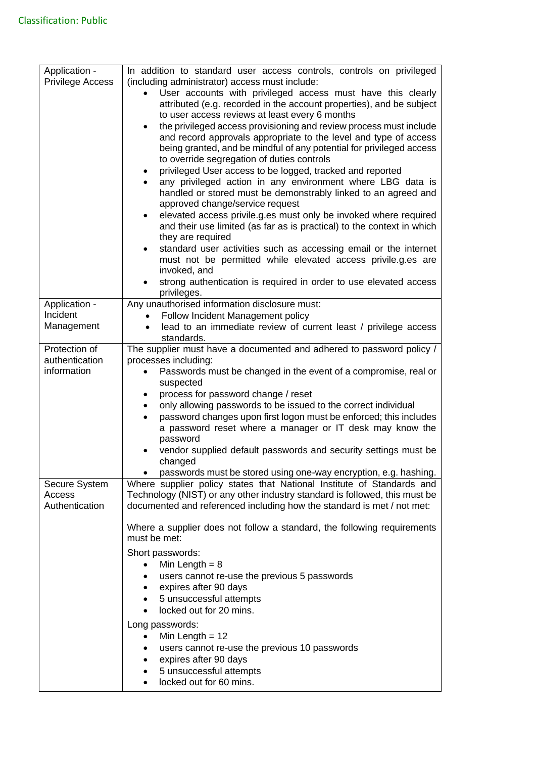| Application -<br><b>Privilege Access</b>  | In addition to standard user access controls, controls on privileged<br>(including administrator) access must include:<br>User accounts with privileged access must have this clearly<br>attributed (e.g. recorded in the account properties), and be subject<br>to user access reviews at least every 6 months<br>the privileged access provisioning and review process must include<br>$\bullet$<br>and record approvals appropriate to the level and type of access<br>being granted, and be mindful of any potential for privileged access<br>to override segregation of duties controls<br>privileged User access to be logged, tracked and reported<br>any privileged action in any environment where LBG data is |
|-------------------------------------------|-------------------------------------------------------------------------------------------------------------------------------------------------------------------------------------------------------------------------------------------------------------------------------------------------------------------------------------------------------------------------------------------------------------------------------------------------------------------------------------------------------------------------------------------------------------------------------------------------------------------------------------------------------------------------------------------------------------------------|
|                                           | handled or stored must be demonstrably linked to an agreed and<br>approved change/service request<br>elevated access privile.g.es must only be invoked where required                                                                                                                                                                                                                                                                                                                                                                                                                                                                                                                                                   |
|                                           | and their use limited (as far as is practical) to the context in which<br>they are required                                                                                                                                                                                                                                                                                                                                                                                                                                                                                                                                                                                                                             |
|                                           | standard user activities such as accessing email or the internet<br>must not be permitted while elevated access privile.g.es are<br>invoked, and                                                                                                                                                                                                                                                                                                                                                                                                                                                                                                                                                                        |
|                                           | strong authentication is required in order to use elevated access<br>privileges.                                                                                                                                                                                                                                                                                                                                                                                                                                                                                                                                                                                                                                        |
| Application -                             | Any unauthorised information disclosure must:                                                                                                                                                                                                                                                                                                                                                                                                                                                                                                                                                                                                                                                                           |
| Incident                                  | Follow Incident Management policy                                                                                                                                                                                                                                                                                                                                                                                                                                                                                                                                                                                                                                                                                       |
| Management                                | lead to an immediate review of current least / privilege access<br>$\bullet$                                                                                                                                                                                                                                                                                                                                                                                                                                                                                                                                                                                                                                            |
|                                           | standards.                                                                                                                                                                                                                                                                                                                                                                                                                                                                                                                                                                                                                                                                                                              |
| Protection of                             | The supplier must have a documented and adhered to password policy /                                                                                                                                                                                                                                                                                                                                                                                                                                                                                                                                                                                                                                                    |
| authentication                            | processes including:                                                                                                                                                                                                                                                                                                                                                                                                                                                                                                                                                                                                                                                                                                    |
| information                               | Passwords must be changed in the event of a compromise, real or<br>$\bullet$                                                                                                                                                                                                                                                                                                                                                                                                                                                                                                                                                                                                                                            |
|                                           | suspected                                                                                                                                                                                                                                                                                                                                                                                                                                                                                                                                                                                                                                                                                                               |
|                                           | process for password change / reset<br>٠                                                                                                                                                                                                                                                                                                                                                                                                                                                                                                                                                                                                                                                                                |
|                                           | only allowing passwords to be issued to the correct individual                                                                                                                                                                                                                                                                                                                                                                                                                                                                                                                                                                                                                                                          |
|                                           | password changes upon first logon must be enforced; this includes                                                                                                                                                                                                                                                                                                                                                                                                                                                                                                                                                                                                                                                       |
|                                           | a password reset where a manager or IT desk may know the<br>password                                                                                                                                                                                                                                                                                                                                                                                                                                                                                                                                                                                                                                                    |
|                                           | vendor supplied default passwords and security settings must be<br>changed                                                                                                                                                                                                                                                                                                                                                                                                                                                                                                                                                                                                                                              |
|                                           | passwords must be stored using one-way encryption, e.g. hashing.<br>$\bullet$                                                                                                                                                                                                                                                                                                                                                                                                                                                                                                                                                                                                                                           |
| Secure System<br>Access<br>Authentication | Where supplier policy states that National Institute of Standards and<br>Technology (NIST) or any other industry standard is followed, this must be<br>documented and referenced including how the standard is met / not met:                                                                                                                                                                                                                                                                                                                                                                                                                                                                                           |
|                                           | Where a supplier does not follow a standard, the following requirements<br>must be met:                                                                                                                                                                                                                                                                                                                                                                                                                                                                                                                                                                                                                                 |
|                                           | Short passwords:                                                                                                                                                                                                                                                                                                                                                                                                                                                                                                                                                                                                                                                                                                        |
|                                           | Min Length $= 8$<br>$\bullet$                                                                                                                                                                                                                                                                                                                                                                                                                                                                                                                                                                                                                                                                                           |
|                                           | users cannot re-use the previous 5 passwords                                                                                                                                                                                                                                                                                                                                                                                                                                                                                                                                                                                                                                                                            |
|                                           | expires after 90 days<br>$\bullet$                                                                                                                                                                                                                                                                                                                                                                                                                                                                                                                                                                                                                                                                                      |
|                                           | 5 unsuccessful attempts                                                                                                                                                                                                                                                                                                                                                                                                                                                                                                                                                                                                                                                                                                 |
|                                           | locked out for 20 mins.                                                                                                                                                                                                                                                                                                                                                                                                                                                                                                                                                                                                                                                                                                 |
|                                           | Long passwords:                                                                                                                                                                                                                                                                                                                                                                                                                                                                                                                                                                                                                                                                                                         |
|                                           | Min Length $= 12$<br>$\bullet$                                                                                                                                                                                                                                                                                                                                                                                                                                                                                                                                                                                                                                                                                          |
|                                           | users cannot re-use the previous 10 passwords<br>$\bullet$                                                                                                                                                                                                                                                                                                                                                                                                                                                                                                                                                                                                                                                              |
|                                           | expires after 90 days                                                                                                                                                                                                                                                                                                                                                                                                                                                                                                                                                                                                                                                                                                   |
|                                           |                                                                                                                                                                                                                                                                                                                                                                                                                                                                                                                                                                                                                                                                                                                         |
|                                           | 5 unsuccessful attempts<br>locked out for 60 mins.                                                                                                                                                                                                                                                                                                                                                                                                                                                                                                                                                                                                                                                                      |
|                                           |                                                                                                                                                                                                                                                                                                                                                                                                                                                                                                                                                                                                                                                                                                                         |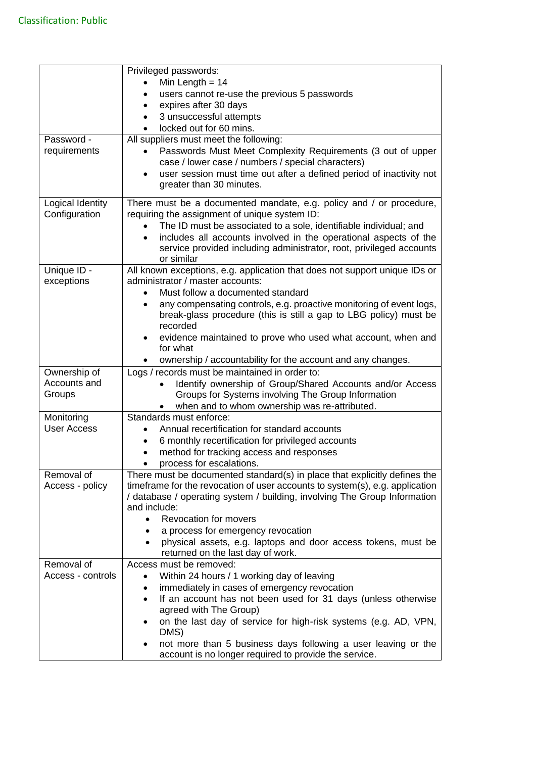|                                  | Privileged passwords:                                                                                          |
|----------------------------------|----------------------------------------------------------------------------------------------------------------|
|                                  | Min Length $= 14$                                                                                              |
|                                  | users cannot re-use the previous 5 passwords                                                                   |
|                                  | expires after 30 days                                                                                          |
|                                  | 3 unsuccessful attempts                                                                                        |
|                                  | locked out for 60 mins.                                                                                        |
| Password -                       | All suppliers must meet the following:                                                                         |
| requirements                     | Passwords Must Meet Complexity Requirements (3 out of upper                                                    |
|                                  | case / lower case / numbers / special characters)                                                              |
|                                  | user session must time out after a defined period of inactivity not                                            |
|                                  | greater than 30 minutes.                                                                                       |
| Logical Identity                 | There must be a documented mandate, e.g. policy and / or procedure,                                            |
| Configuration                    | requiring the assignment of unique system ID:                                                                  |
|                                  | The ID must be associated to a sole, identifiable individual; and                                              |
|                                  | includes all accounts involved in the operational aspects of the<br>$\bullet$                                  |
|                                  | service provided including administrator, root, privileged accounts                                            |
|                                  | or similar                                                                                                     |
| Unique ID -<br>exceptions        | All known exceptions, e.g. application that does not support unique IDs or<br>administrator / master accounts: |
|                                  | Must follow a documented standard<br>$\bullet$                                                                 |
|                                  | any compensating controls, e.g. proactive monitoring of event logs,<br>$\bullet$                               |
|                                  | break-glass procedure (this is still a gap to LBG policy) must be                                              |
|                                  | recorded                                                                                                       |
|                                  | evidence maintained to prove who used what account, when and                                                   |
|                                  | for what                                                                                                       |
|                                  | ownership / accountability for the account and any changes.                                                    |
| Ownership of                     | Logs / records must be maintained in order to:                                                                 |
| Accounts and                     | Identify ownership of Group/Shared Accounts and/or Access                                                      |
| Groups                           | Groups for Systems involving The Group Information                                                             |
|                                  | when and to whom ownership was re-attributed.<br>Standards must enforce:                                       |
| Monitoring<br><b>User Access</b> | Annual recertification for standard accounts                                                                   |
|                                  | 6 monthly recertification for privileged accounts                                                              |
|                                  | method for tracking access and responses                                                                       |
|                                  | process for escalations.                                                                                       |
| Removal of                       | There must be documented standard(s) in place that explicitly defines the                                      |
| Access - policy                  | timeframe for the revocation of user accounts to system(s), e.g. application                                   |
|                                  | / database / operating system / building, involving The Group Information                                      |
|                                  | and include:                                                                                                   |
|                                  | <b>Revocation for movers</b><br>$\bullet$                                                                      |
|                                  | a process for emergency revocation<br>٠                                                                        |
|                                  | physical assets, e.g. laptops and door access tokens, must be                                                  |
| Removal of                       | returned on the last day of work.<br>Access must be removed:                                                   |
| Access - controls                | Within 24 hours / 1 working day of leaving<br>$\bullet$                                                        |
|                                  | immediately in cases of emergency revocation                                                                   |
|                                  | If an account has not been used for 31 days (unless otherwise<br>$\bullet$                                     |
|                                  | agreed with The Group)                                                                                         |
|                                  | on the last day of service for high-risk systems (e.g. AD, VPN,<br>DMS)                                        |
|                                  | not more than 5 business days following a user leaving or the                                                  |
|                                  | account is no longer required to provide the service.                                                          |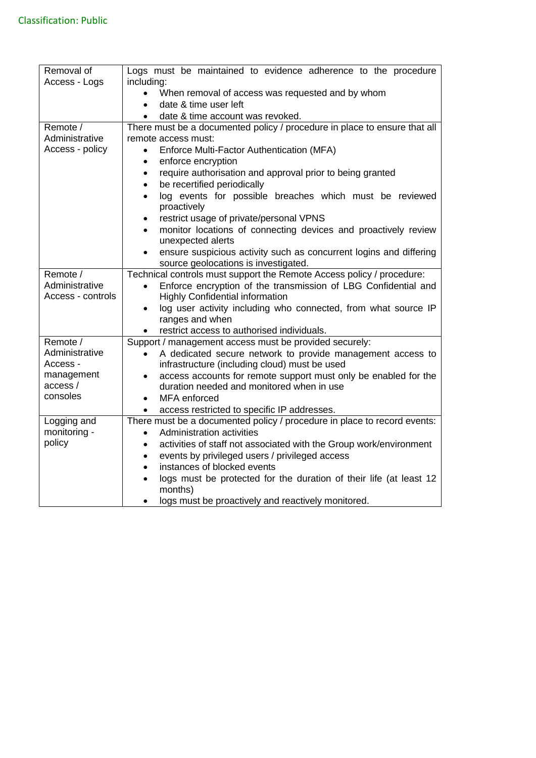| Removal of        | Logs must be maintained to evidence adherence to the procedure                  |
|-------------------|---------------------------------------------------------------------------------|
| Access - Logs     | including:                                                                      |
|                   | When removal of access was requested and by whom                                |
|                   | date & time user left                                                           |
|                   | date & time account was revoked.                                                |
| Remote /          | There must be a documented policy / procedure in place to ensure that all       |
| Administrative    | remote access must:                                                             |
| Access - policy   | Enforce Multi-Factor Authentication (MFA)<br>$\bullet$                          |
|                   | enforce encryption<br>$\bullet$                                                 |
|                   | require authorisation and approval prior to being granted<br>$\bullet$          |
|                   | be recertified periodically<br>$\bullet$                                        |
|                   | log events for possible breaches which must be reviewed                         |
|                   | $\bullet$<br>proactively                                                        |
|                   | restrict usage of private/personal VPNS<br>$\bullet$                            |
|                   | monitor locations of connecting devices and proactively review<br>$\bullet$     |
|                   | unexpected alerts                                                               |
|                   | ensure suspicious activity such as concurrent logins and differing              |
|                   | source geolocations is investigated.                                            |
| Remote /          | Technical controls must support the Remote Access policy / procedure:           |
| Administrative    | Enforce encryption of the transmission of LBG Confidential and<br>$\bullet$     |
| Access - controls | <b>Highly Confidential information</b>                                          |
|                   | log user activity including who connected, from what source IP<br>$\bullet$     |
|                   | ranges and when                                                                 |
|                   | restrict access to authorised individuals.                                      |
| Remote /          |                                                                                 |
| Administrative    | Support / management access must be provided securely:                          |
|                   | A dedicated secure network to provide management access to                      |
| Access -          | infrastructure (including cloud) must be used                                   |
| management        | access accounts for remote support must only be enabled for the                 |
| access /          | duration needed and monitored when in use                                       |
| consoles          | MFA enforced<br>$\bullet$                                                       |
|                   | access restricted to specific IP addresses.<br>$\bullet$                        |
| Logging and       | There must be a documented policy / procedure in place to record events:        |
| monitoring -      | Administration activities<br>$\bullet$                                          |
| policy            | activities of staff not associated with the Group work/environment<br>$\bullet$ |
|                   | events by privileged users / privileged access<br>$\bullet$                     |
|                   | instances of blocked events<br>$\bullet$                                        |
|                   | logs must be protected for the duration of their life (at least 12<br>$\bullet$ |
|                   | months)                                                                         |
|                   | logs must be proactively and reactively monitored.                              |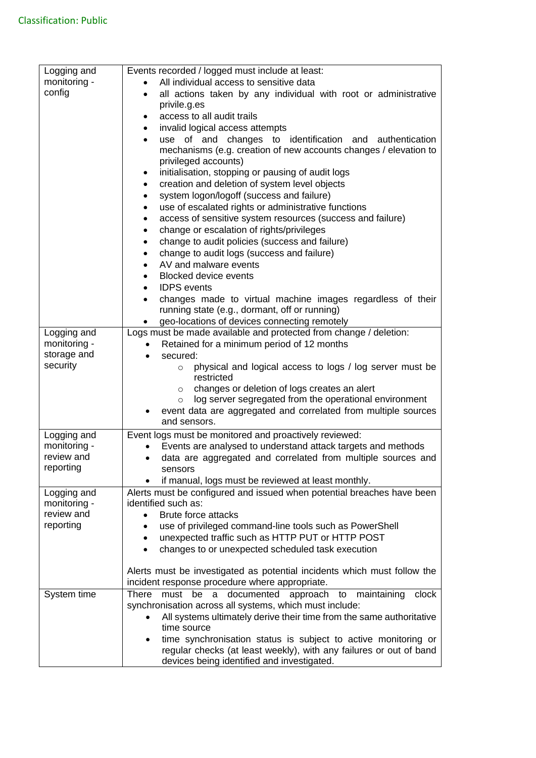| Logging and<br>monitoring -<br>config                  | Events recorded / logged must include at least:<br>All individual access to sensitive data<br>all actions taken by any individual with root or administrative<br>$\bullet$<br>privile.g.es<br>access to all audit trails<br>٠                                            |
|--------------------------------------------------------|--------------------------------------------------------------------------------------------------------------------------------------------------------------------------------------------------------------------------------------------------------------------------|
|                                                        | invalid logical access attempts<br>$\bullet$<br>use of and changes to identification and<br>authentication<br>mechanisms (e.g. creation of new accounts changes / elevation to<br>privileged accounts)<br>initialisation, stopping or pausing of audit logs<br>$\bullet$ |
|                                                        | creation and deletion of system level objects<br>$\bullet$<br>system logon/logoff (success and failure)<br>$\bullet$<br>use of escalated rights or administrative functions<br>$\bullet$                                                                                 |
|                                                        | access of sensitive system resources (success and failure)<br>٠<br>change or escalation of rights/privileges<br>$\bullet$<br>change to audit policies (success and failure)<br>$\bullet$<br>change to audit logs (success and failure)<br>$\bullet$                      |
|                                                        | AV and malware events<br>$\bullet$<br><b>Blocked device events</b><br>$\bullet$<br><b>IDPS</b> events<br>$\bullet$<br>changes made to virtual machine images regardless of their<br>$\bullet$                                                                            |
|                                                        | running state (e.g., dormant, off or running)<br>geo-locations of devices connecting remotely                                                                                                                                                                            |
| Logging and<br>monitoring -<br>storage and<br>security | Logs must be made available and protected from change / deletion:<br>Retained for a minimum period of 12 months<br>secured:<br>$\bullet$<br>physical and logical access to logs / log server must be<br>$\circ$<br>restricted                                            |
|                                                        | changes or deletion of logs creates an alert<br>$\circ$<br>log server segregated from the operational environment<br>$\circ$<br>event data are aggregated and correlated from multiple sources<br>and sensors.                                                           |
| Logging and<br>monitoring -<br>review and<br>reporting | Event logs must be monitored and proactively reviewed:<br>Events are analysed to understand attack targets and methods<br>data are aggregated and correlated from multiple sources and<br>٠<br>sensors<br>if manual, logs must be reviewed at least monthly.             |
| Logging and<br>monitoring -<br>review and<br>reporting | Alerts must be configured and issued when potential breaches have been<br>identified such as:<br><b>Brute force attacks</b><br>use of privileged command-line tools such as PowerShell                                                                                   |
|                                                        | unexpected traffic such as HTTP PUT or HTTP POST<br>٠<br>changes to or unexpected scheduled task execution                                                                                                                                                               |
|                                                        | Alerts must be investigated as potential incidents which must follow the<br>incident response procedure where appropriate.                                                                                                                                               |
| System time                                            | must be a documented approach to<br><b>There</b><br>maintaining<br>clock<br>synchronisation across all systems, which must include:<br>All systems ultimately derive their time from the same authoritative<br>$\bullet$<br>time source                                  |
|                                                        | time synchronisation status is subject to active monitoring or<br>regular checks (at least weekly), with any failures or out of band<br>devices being identified and investigated.                                                                                       |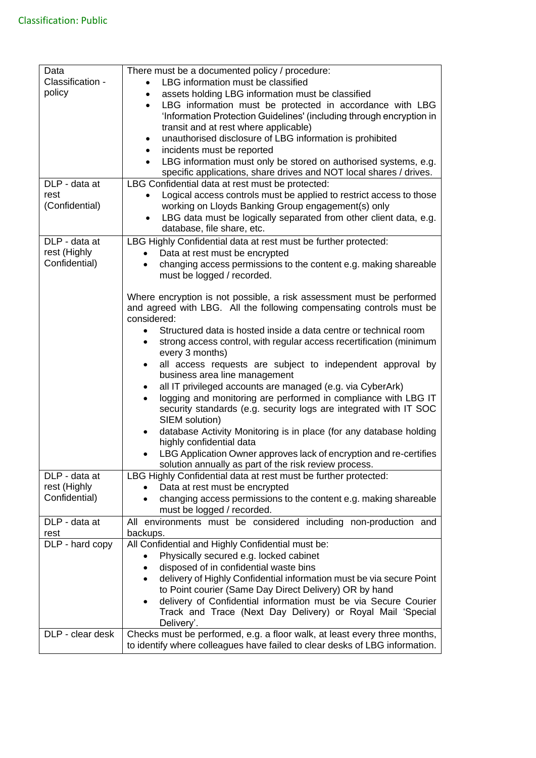| Data             | There must be a documented policy / procedure:                                                                                |
|------------------|-------------------------------------------------------------------------------------------------------------------------------|
| Classification - | LBG information must be classified<br>$\bullet$                                                                               |
| policy           | assets holding LBG information must be classified                                                                             |
|                  | LBG information must be protected in accordance with LBG<br>$\bullet$                                                         |
|                  | 'Information Protection Guidelines' (including through encryption in                                                          |
|                  | transit and at rest where applicable)                                                                                         |
|                  | unauthorised disclosure of LBG information is prohibited<br>٠                                                                 |
|                  | incidents must be reported<br>$\bullet$                                                                                       |
|                  | LBG information must only be stored on authorised systems, e.g.<br>$\bullet$                                                  |
|                  | specific applications, share drives and NOT local shares / drives.                                                            |
| DLP - data at    | LBG Confidential data at rest must be protected:                                                                              |
| rest             | Logical access controls must be applied to restrict access to those                                                           |
| (Confidential)   | working on Lloyds Banking Group engagement(s) only                                                                            |
|                  | LBG data must be logically separated from other client data, e.g.                                                             |
|                  | database, file share, etc.                                                                                                    |
| DLP - data at    | LBG Highly Confidential data at rest must be further protected:                                                               |
| rest (Highly     | Data at rest must be encrypted                                                                                                |
| Confidential)    | changing access permissions to the content e.g. making shareable<br>$\bullet$                                                 |
|                  | must be logged / recorded.                                                                                                    |
|                  |                                                                                                                               |
|                  | Where encryption is not possible, a risk assessment must be performed                                                         |
|                  | and agreed with LBG. All the following compensating controls must be                                                          |
|                  | considered:                                                                                                                   |
|                  | Structured data is hosted inside a data centre or technical room<br>$\bullet$                                                 |
|                  | strong access control, with regular access recertification (minimum<br>$\bullet$                                              |
|                  | every 3 months)                                                                                                               |
|                  | all access requests are subject to independent approval by<br>business area line management                                   |
|                  | all IT privileged accounts are managed (e.g. via CyberArk)                                                                    |
|                  | logging and monitoring are performed in compliance with LBG IT                                                                |
|                  | security standards (e.g. security logs are integrated with IT SOC                                                             |
|                  | SIEM solution)                                                                                                                |
|                  | database Activity Monitoring is in place (for any database holding<br>$\bullet$                                               |
|                  | highly confidential data                                                                                                      |
|                  | LBG Application Owner approves lack of encryption and re-certifies                                                            |
|                  | solution annually as part of the risk review process.                                                                         |
| DLP - data at    | LBG Highly Confidential data at rest must be further protected:                                                               |
| rest (Highly     | Data at rest must be encrypted                                                                                                |
| Confidential)    | changing access permissions to the content e.g. making shareable                                                              |
|                  | must be logged / recorded.                                                                                                    |
| DLP - data at    | All environments must be considered including non-production and                                                              |
| rest             | backups.                                                                                                                      |
| DLP - hard copy  | All Confidential and Highly Confidential must be:                                                                             |
|                  | Physically secured e.g. locked cabinet                                                                                        |
|                  | disposed of in confidential waste bins                                                                                        |
|                  | delivery of Highly Confidential information must be via secure Point                                                          |
|                  | to Point courier (Same Day Direct Delivery) OR by hand                                                                        |
|                  | delivery of Confidential information must be via Secure Courier<br>Track and Trace (Next Day Delivery) or Royal Mail 'Special |
|                  | Delivery'.                                                                                                                    |
| DLP - clear desk | Checks must be performed, e.g. a floor walk, at least every three months,                                                     |
|                  | to identify where colleagues have failed to clear desks of LBG information.                                                   |
|                  |                                                                                                                               |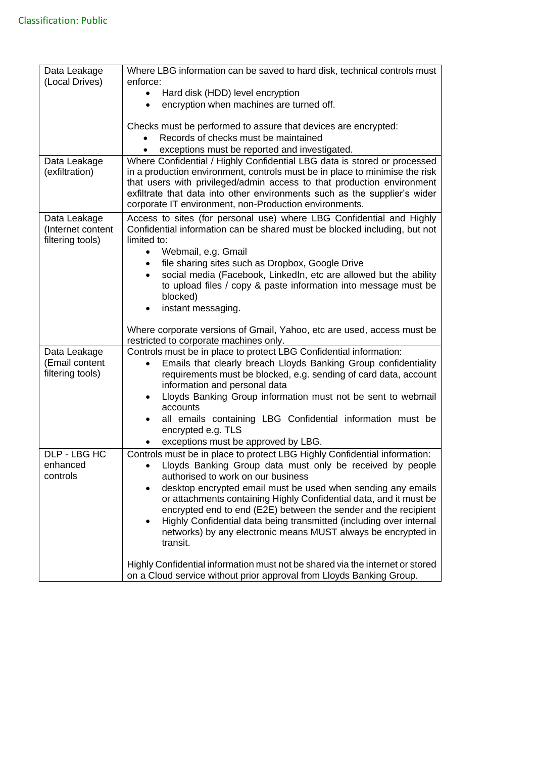| Data Leakage<br>(Local Drives) | Where LBG information can be saved to hard disk, technical controls must<br>enforce:                                                                                                                                                                                                                                                                                     |
|--------------------------------|--------------------------------------------------------------------------------------------------------------------------------------------------------------------------------------------------------------------------------------------------------------------------------------------------------------------------------------------------------------------------|
|                                | Hard disk (HDD) level encryption                                                                                                                                                                                                                                                                                                                                         |
|                                | encryption when machines are turned off.                                                                                                                                                                                                                                                                                                                                 |
|                                | Checks must be performed to assure that devices are encrypted:                                                                                                                                                                                                                                                                                                           |
|                                | Records of checks must be maintained                                                                                                                                                                                                                                                                                                                                     |
|                                | exceptions must be reported and investigated.                                                                                                                                                                                                                                                                                                                            |
| Data Leakage<br>(exfiltration) | Where Confidential / Highly Confidential LBG data is stored or processed<br>in a production environment, controls must be in place to minimise the risk<br>that users with privileged/admin access to that production environment<br>exfiltrate that data into other environments such as the supplier's wider<br>corporate IT environment, non-Production environments. |
| Data Leakage                   | Access to sites (for personal use) where LBG Confidential and Highly                                                                                                                                                                                                                                                                                                     |
| (Internet content              | Confidential information can be shared must be blocked including, but not                                                                                                                                                                                                                                                                                                |
| filtering tools)               | limited to:                                                                                                                                                                                                                                                                                                                                                              |
|                                | Webmail, e.g. Gmail<br>$\bullet$<br>file sharing sites such as Dropbox, Google Drive<br>$\bullet$                                                                                                                                                                                                                                                                        |
|                                | social media (Facebook, LinkedIn, etc are allowed but the ability<br>$\bullet$                                                                                                                                                                                                                                                                                           |
|                                | to upload files / copy & paste information into message must be                                                                                                                                                                                                                                                                                                          |
|                                | blocked)                                                                                                                                                                                                                                                                                                                                                                 |
|                                | instant messaging.<br>٠                                                                                                                                                                                                                                                                                                                                                  |
|                                | Where corporate versions of Gmail, Yahoo, etc are used, access must be<br>restricted to corporate machines only.                                                                                                                                                                                                                                                         |
| Data Leakage                   | Controls must be in place to protect LBG Confidential information:                                                                                                                                                                                                                                                                                                       |
| (Email content                 | Emails that clearly breach Lloyds Banking Group confidentiality                                                                                                                                                                                                                                                                                                          |
| filtering tools)               | requirements must be blocked, e.g. sending of card data, account                                                                                                                                                                                                                                                                                                         |
|                                | information and personal data<br>Lloyds Banking Group information must not be sent to webmail<br>٠                                                                                                                                                                                                                                                                       |
|                                | accounts                                                                                                                                                                                                                                                                                                                                                                 |
|                                | all emails containing LBG Confidential information must be<br>$\bullet$<br>encrypted e.g. TLS                                                                                                                                                                                                                                                                            |
|                                | exceptions must be approved by LBG.                                                                                                                                                                                                                                                                                                                                      |
| DLP - LBG HC                   | Controls must be in place to protect LBG Highly Confidential information:                                                                                                                                                                                                                                                                                                |
| enhanced                       | Lloyds Banking Group data must only be received by people                                                                                                                                                                                                                                                                                                                |
| controls                       | authorised to work on our business                                                                                                                                                                                                                                                                                                                                       |
|                                | desktop encrypted email must be used when sending any emails                                                                                                                                                                                                                                                                                                             |
|                                | or attachments containing Highly Confidential data, and it must be<br>encrypted end to end (E2E) between the sender and the recipient                                                                                                                                                                                                                                    |
|                                | Highly Confidential data being transmitted (including over internal                                                                                                                                                                                                                                                                                                      |
|                                | networks) by any electronic means MUST always be encrypted in<br>transit.                                                                                                                                                                                                                                                                                                |
|                                |                                                                                                                                                                                                                                                                                                                                                                          |
|                                | Highly Confidential information must not be shared via the internet or stored<br>on a Cloud service without prior approval from Lloyds Banking Group.                                                                                                                                                                                                                    |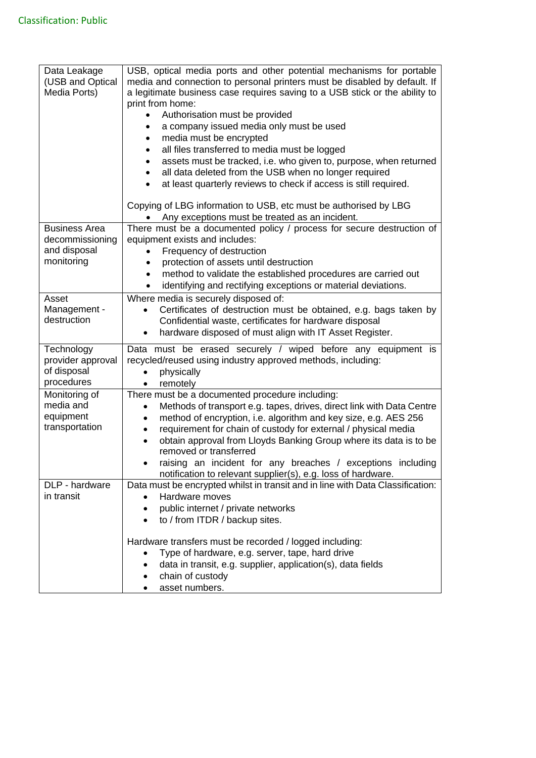| Data Leakage<br>(USB and Optical<br>Media Ports)                      | USB, optical media ports and other potential mechanisms for portable<br>media and connection to personal printers must be disabled by default. If<br>a legitimate business case requires saving to a USB stick or the ability to<br>print from home:<br>Authorisation must be provided<br>$\bullet$<br>a company issued media only must be used<br>$\bullet$<br>media must be encrypted<br>٠<br>all files transferred to media must be logged<br>$\bullet$<br>assets must be tracked, i.e. who given to, purpose, when returned<br>$\bullet$<br>all data deleted from the USB when no longer required<br>$\bullet$<br>at least quarterly reviews to check if access is still required.<br>$\bullet$ |
|-----------------------------------------------------------------------|-----------------------------------------------------------------------------------------------------------------------------------------------------------------------------------------------------------------------------------------------------------------------------------------------------------------------------------------------------------------------------------------------------------------------------------------------------------------------------------------------------------------------------------------------------------------------------------------------------------------------------------------------------------------------------------------------------|
|                                                                       | Copying of LBG information to USB, etc must be authorised by LBG<br>Any exceptions must be treated as an incident.                                                                                                                                                                                                                                                                                                                                                                                                                                                                                                                                                                                  |
| <b>Business Area</b><br>decommissioning<br>and disposal<br>monitoring | There must be a documented policy / process for secure destruction of<br>equipment exists and includes:<br>Frequency of destruction<br>protection of assets until destruction<br>method to validate the established procedures are carried out<br>$\bullet$<br>identifying and rectifying exceptions or material deviations.<br>$\bullet$                                                                                                                                                                                                                                                                                                                                                           |
| Asset<br>Management -<br>destruction                                  | Where media is securely disposed of:<br>Certificates of destruction must be obtained, e.g. bags taken by<br>Confidential waste, certificates for hardware disposal<br>hardware disposed of must align with IT Asset Register.                                                                                                                                                                                                                                                                                                                                                                                                                                                                       |
| Technology<br>provider approval<br>of disposal<br>procedures          | Data must be erased securely / wiped before any equipment is<br>recycled/reused using industry approved methods, including:<br>physically<br>$\bullet$<br>remotely<br>$\bullet$                                                                                                                                                                                                                                                                                                                                                                                                                                                                                                                     |
| Monitoring of<br>media and<br>equipment<br>transportation             | There must be a documented procedure including:<br>Methods of transport e.g. tapes, drives, direct link with Data Centre<br>$\bullet$<br>method of encryption, i.e. algorithm and key size, e.g. AES 256<br>٠<br>requirement for chain of custody for external / physical media<br>$\bullet$<br>obtain approval from Lloyds Banking Group where its data is to be<br>$\bullet$<br>removed or transferred<br>raising an incident for any breaches / exceptions including<br>notification to relevant supplier(s), e.g. loss of hardware.                                                                                                                                                             |
| DLP - hardware<br>in transit                                          | Data must be encrypted whilst in transit and in line with Data Classification:<br>Hardware moves<br>public internet / private networks<br>to / from ITDR / backup sites.                                                                                                                                                                                                                                                                                                                                                                                                                                                                                                                            |
|                                                                       | Hardware transfers must be recorded / logged including:<br>Type of hardware, e.g. server, tape, hard drive<br>data in transit, e.g. supplier, application(s), data fields<br>chain of custody<br>asset numbers.                                                                                                                                                                                                                                                                                                                                                                                                                                                                                     |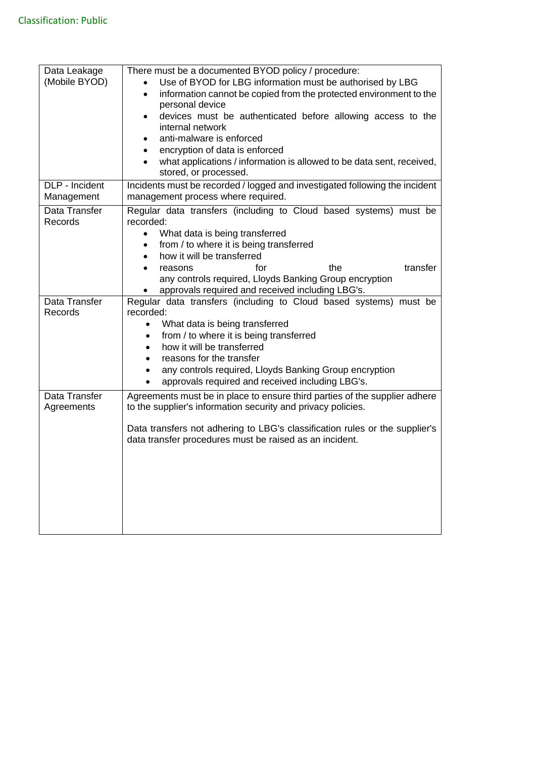| Data Leakage<br>(Mobile BYOD)<br>DLP - Incident | There must be a documented BYOD policy / procedure:<br>Use of BYOD for LBG information must be authorised by LBG<br>information cannot be copied from the protected environment to the<br>$\bullet$<br>personal device<br>devices must be authenticated before allowing access to the<br>internal network<br>anti-malware is enforced<br>encryption of data is enforced<br>$\bullet$<br>what applications / information is allowed to be data sent, received,<br>stored, or processed.<br>Incidents must be recorded / logged and investigated following the incident |
|-------------------------------------------------|-----------------------------------------------------------------------------------------------------------------------------------------------------------------------------------------------------------------------------------------------------------------------------------------------------------------------------------------------------------------------------------------------------------------------------------------------------------------------------------------------------------------------------------------------------------------------|
| Management                                      | management process where required.                                                                                                                                                                                                                                                                                                                                                                                                                                                                                                                                    |
| Data Transfer<br>Records                        | Regular data transfers (including to Cloud based systems) must be<br>recorded:<br>What data is being transferred<br>$\bullet$<br>from / to where it is being transferred<br>$\bullet$<br>how it will be transferred<br>the<br>transfer<br>for<br>reasons<br>any controls required, Lloyds Banking Group encryption<br>approvals required and received including LBG's.                                                                                                                                                                                                |
| Data Transfer<br>Records                        | Regular data transfers (including to Cloud based systems) must be<br>recorded:<br>What data is being transferred<br>$\bullet$<br>from / to where it is being transferred<br>how it will be transferred<br>reasons for the transfer<br>any controls required, Lloyds Banking Group encryption<br>approvals required and received including LBG's.                                                                                                                                                                                                                      |
| Data Transfer<br>Agreements                     | Agreements must be in place to ensure third parties of the supplier adhere<br>to the supplier's information security and privacy policies.<br>Data transfers not adhering to LBG's classification rules or the supplier's<br>data transfer procedures must be raised as an incident.                                                                                                                                                                                                                                                                                  |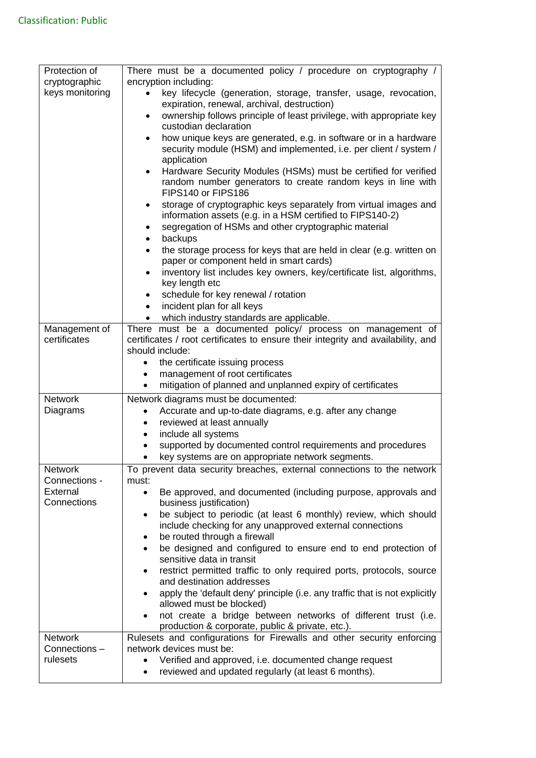| Protection of           | There must be a documented policy / procedure on cryptography /                                                                                           |
|-------------------------|-----------------------------------------------------------------------------------------------------------------------------------------------------------|
| cryptographic           | encryption including:                                                                                                                                     |
| keys monitoring         | key lifecycle (generation, storage, transfer, usage, revocation,<br>expiration, renewal, archival, destruction)                                           |
|                         | ownership follows principle of least privilege, with appropriate key<br>custodian declaration                                                             |
|                         | how unique keys are generated, e.g. in software or in a hardware<br>$\bullet$                                                                             |
|                         | security module (HSM) and implemented, i.e. per client / system /                                                                                         |
|                         | application                                                                                                                                               |
|                         | Hardware Security Modules (HSMs) must be certified for verified<br>٠<br>random number generators to create random keys in line with<br>FIPS140 or FIPS186 |
|                         | storage of cryptographic keys separately from virtual images and<br>٠<br>information assets (e.g. in a HSM certified to FIPS140-2)                        |
|                         | segregation of HSMs and other cryptographic material<br>٠                                                                                                 |
|                         | backups<br>$\bullet$                                                                                                                                      |
|                         | the storage process for keys that are held in clear (e.g. written on<br>$\bullet$<br>paper or component held in smart cards)                              |
|                         | inventory list includes key owners, key/certificate list, algorithms,<br>key length etc                                                                   |
|                         | schedule for key renewal / rotation<br>٠                                                                                                                  |
|                         | incident plan for all keys<br>$\bullet$                                                                                                                   |
|                         | which industry standards are applicable.<br>$\bullet$                                                                                                     |
| Management of           | There must be a documented policy/ process on management of                                                                                               |
| certificates            | certificates / root certificates to ensure their integrity and availability, and                                                                          |
|                         | should include:                                                                                                                                           |
|                         | the certificate issuing process<br>$\bullet$<br>management of root certificates<br>$\bullet$                                                              |
|                         | mitigation of planned and unplanned expiry of certificates                                                                                                |
| <b>Network</b>          | Network diagrams must be documented:                                                                                                                      |
| Diagrams                | Accurate and up-to-date diagrams, e.g. after any change                                                                                                   |
|                         | reviewed at least annually<br>$\bullet$                                                                                                                   |
|                         | include all systems<br>٠                                                                                                                                  |
|                         | supported by documented control requirements and procedures                                                                                               |
|                         | key systems are on appropriate network segments.                                                                                                          |
| Network                 | To prevent data security breaches, external connections to the network                                                                                    |
| Connections -           | must:                                                                                                                                                     |
| External<br>Connections | Be approved, and documented (including purpose, approvals and<br>$\bullet$<br>business justification)                                                     |
|                         | be subject to periodic (at least 6 monthly) review, which should                                                                                          |
|                         | include checking for any unapproved external connections                                                                                                  |
|                         | be routed through a firewall                                                                                                                              |
|                         | be designed and configured to ensure end to end protection of                                                                                             |
|                         | sensitive data in transit                                                                                                                                 |
|                         | restrict permitted traffic to only required ports, protocols, source<br>$\bullet$<br>and destination addresses                                            |
|                         | apply the 'default deny' principle (i.e. any traffic that is not explicitly                                                                               |
|                         | allowed must be blocked)                                                                                                                                  |
|                         | not create a bridge between networks of different trust (i.e.<br>production & corporate, public & private, etc.).                                         |
| <b>Network</b>          | Rulesets and configurations for Firewalls and other security enforcing                                                                                    |
| Connections-            | network devices must be:                                                                                                                                  |
| rulesets                | Verified and approved, i.e. documented change request                                                                                                     |
|                         | reviewed and updated regularly (at least 6 months).                                                                                                       |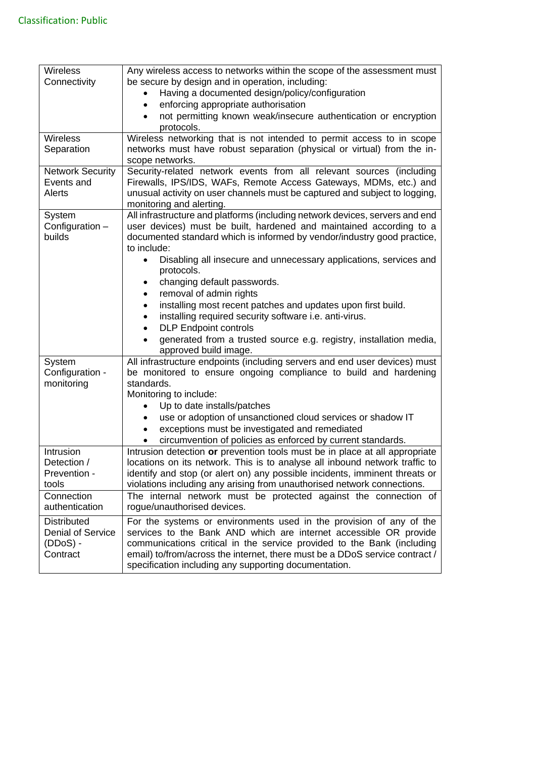| Wireless                 | Any wireless access to networks within the scope of the assessment must                                                                  |
|--------------------------|------------------------------------------------------------------------------------------------------------------------------------------|
| Connectivity             | be secure by design and in operation, including:                                                                                         |
|                          | Having a documented design/policy/configuration                                                                                          |
|                          | enforcing appropriate authorisation                                                                                                      |
|                          | not permitting known weak/insecure authentication or encryption                                                                          |
|                          | protocols.                                                                                                                               |
| Wireless                 | Wireless networking that is not intended to permit access to in scope                                                                    |
| Separation               | networks must have robust separation (physical or virtual) from the in-                                                                  |
|                          | scope networks.                                                                                                                          |
| <b>Network Security</b>  | Security-related network events from all relevant sources (including                                                                     |
| Events and               | Firewalls, IPS/IDS, WAFs, Remote Access Gateways, MDMs, etc.) and                                                                        |
| Alerts                   | unusual activity on user channels must be captured and subject to logging,                                                               |
|                          | monitoring and alerting.                                                                                                                 |
| System                   | All infrastructure and platforms (including network devices, servers and end                                                             |
| Configuration -          | user devices) must be built, hardened and maintained according to a                                                                      |
| builds                   | documented standard which is informed by vendor/industry good practice,                                                                  |
|                          | to include:                                                                                                                              |
|                          | Disabling all insecure and unnecessary applications, services and                                                                        |
|                          | protocols.                                                                                                                               |
|                          | changing default passwords.<br>$\bullet$                                                                                                 |
|                          | removal of admin rights                                                                                                                  |
|                          | installing most recent patches and updates upon first build.<br>$\bullet$                                                                |
|                          | installing required security software i.e. anti-virus.                                                                                   |
|                          | <b>DLP Endpoint controls</b><br>$\bullet$                                                                                                |
|                          | generated from a trusted source e.g. registry, installation media,                                                                       |
|                          | approved build image.                                                                                                                    |
| System                   | All infrastructure endpoints (including servers and end user devices) must                                                               |
| Configuration -          | be monitored to ensure ongoing compliance to build and hardening                                                                         |
| monitoring               | standards.                                                                                                                               |
|                          | Monitoring to include:                                                                                                                   |
|                          | Up to date installs/patches<br>$\bullet$                                                                                                 |
|                          | use or adoption of unsanctioned cloud services or shadow IT                                                                              |
|                          | exceptions must be investigated and remediated                                                                                           |
|                          | circumvention of policies as enforced by current standards.                                                                              |
| Intrusion                | Intrusion detection or prevention tools must be in place at all appropriate                                                              |
| Detection /              | locations on its network. This is to analyse all inbound network traffic to                                                              |
| Prevention -             | identify and stop (or alert on) any possible incidents, imminent threats or                                                              |
| tools                    | violations including any arising from unauthorised network connections.                                                                  |
| Connection               | The internal network must be protected against the connection of                                                                         |
| authentication           | rogue/unauthorised devices.                                                                                                              |
| <b>Distributed</b>       |                                                                                                                                          |
| <b>Denial of Service</b> | For the systems or environments used in the provision of any of the<br>services to the Bank AND which are internet accessible OR provide |
| $(DDoS) -$               | communications critical in the service provided to the Bank (including                                                                   |
| Contract                 |                                                                                                                                          |
|                          | email) to/from/across the internet, there must be a DDoS service contract /                                                              |
|                          | specification including any supporting documentation.                                                                                    |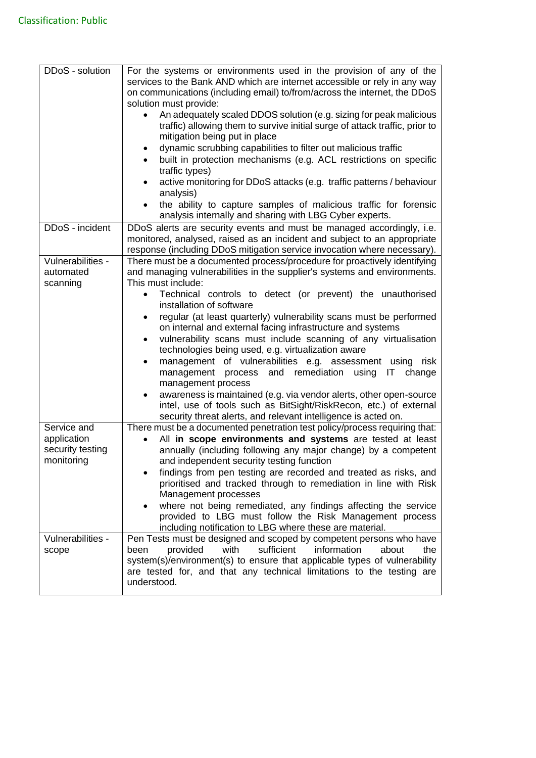| DDoS - solution                                              | For the systems or environments used in the provision of any of the<br>services to the Bank AND which are internet accessible or rely in any way<br>on communications (including email) to/from/across the internet, the DDoS<br>solution must provide:<br>An adequately scaled DDOS solution (e.g. sizing for peak malicious<br>$\bullet$<br>traffic) allowing them to survive initial surge of attack traffic, prior to<br>mitigation being put in place<br>dynamic scrubbing capabilities to filter out malicious traffic<br>$\bullet$<br>built in protection mechanisms (e.g. ACL restrictions on specific<br>traffic types)<br>active monitoring for DDoS attacks (e.g. traffic patterns / behaviour<br>analysis)<br>the ability to capture samples of malicious traffic for forensic |
|--------------------------------------------------------------|--------------------------------------------------------------------------------------------------------------------------------------------------------------------------------------------------------------------------------------------------------------------------------------------------------------------------------------------------------------------------------------------------------------------------------------------------------------------------------------------------------------------------------------------------------------------------------------------------------------------------------------------------------------------------------------------------------------------------------------------------------------------------------------------|
|                                                              | analysis internally and sharing with LBG Cyber experts.                                                                                                                                                                                                                                                                                                                                                                                                                                                                                                                                                                                                                                                                                                                                    |
| DDoS - incident                                              | DDoS alerts are security events and must be managed accordingly, i.e.<br>monitored, analysed, raised as an incident and subject to an appropriate<br>response (including DDoS mitigation service invocation where necessary).                                                                                                                                                                                                                                                                                                                                                                                                                                                                                                                                                              |
| Vulnerabilities -<br>automated<br>scanning                   | There must be a documented process/procedure for proactively identifying<br>and managing vulnerabilities in the supplier's systems and environments.<br>This must include:                                                                                                                                                                                                                                                                                                                                                                                                                                                                                                                                                                                                                 |
|                                                              | Technical controls to detect (or prevent) the unauthorised<br>installation of software<br>regular (at least quarterly) vulnerability scans must be performed<br>on internal and external facing infrastructure and systems<br>vulnerability scans must include scanning of any virtualisation<br>$\bullet$<br>technologies being used, e.g. virtualization aware<br>management of vulnerabilities e.g. assessment using risk<br>$\bullet$<br>and remediation using<br>management<br>IT<br>change<br>process<br>management process<br>awareness is maintained (e.g. via vendor alerts, other open-source<br>$\bullet$<br>intel, use of tools such as BitSight/RiskRecon, etc.) of external                                                                                                  |
| Service and<br>application<br>security testing<br>monitoring | security threat alerts, and relevant intelligence is acted on.<br>There must be a documented penetration test policy/process requiring that:<br>All in scope environments and systems are tested at least<br>annually (including following any major change) by a competent<br>and independent security testing function<br>findings from pen testing are recorded and treated as risks, and<br>prioritised and tracked through to remediation in line with Risk<br>Management processes<br>where not being remediated, any findings affecting the service<br>provided to LBG must follow the Risk Management process<br>including notification to LBG where these are material.                                                                                                           |
| Vulnerabilities -<br>scope                                   | Pen Tests must be designed and scoped by competent persons who have<br>information<br>provided<br>with<br>sufficient<br>about<br>been<br>the<br>system(s)/environment(s) to ensure that applicable types of vulnerability<br>are tested for, and that any technical limitations to the testing are<br>understood.                                                                                                                                                                                                                                                                                                                                                                                                                                                                          |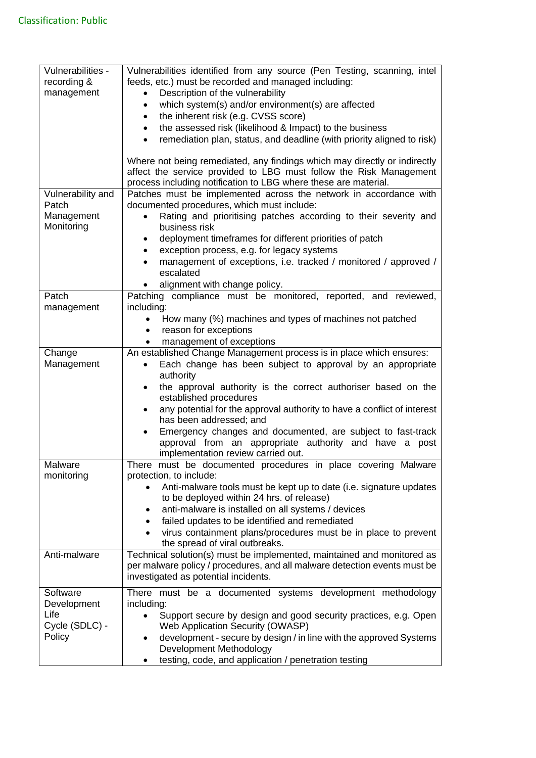| Vulnerabilities -        | Vulnerabilities identified from any source (Pen Testing, scanning, intel                                         |
|--------------------------|------------------------------------------------------------------------------------------------------------------|
| recording &              | feeds, etc.) must be recorded and managed including:                                                             |
| management               | Description of the vulnerability<br>$\bullet$<br>which system(s) and/or environment(s) are affected<br>$\bullet$ |
|                          | the inherent risk (e.g. CVSS score)<br>$\bullet$                                                                 |
|                          | the assessed risk (likelihood & Impact) to the business                                                          |
|                          | remediation plan, status, and deadline (with priority aligned to risk)                                           |
|                          |                                                                                                                  |
|                          | Where not being remediated, any findings which may directly or indirectly                                        |
|                          | affect the service provided to LBG must follow the Risk Management                                               |
|                          | process including notification to LBG where these are material.                                                  |
| Vulnerability and        | Patches must be implemented across the network in accordance with                                                |
| Patch                    | documented procedures, which must include:                                                                       |
| Management<br>Monitoring | Rating and prioritising patches according to their severity and<br>business risk                                 |
|                          | deployment timeframes for different priorities of patch<br>$\bullet$                                             |
|                          | exception process, e.g. for legacy systems<br>$\bullet$                                                          |
|                          | management of exceptions, i.e. tracked / monitored / approved /                                                  |
|                          | escalated                                                                                                        |
|                          | alignment with change policy.                                                                                    |
| Patch                    | Patching compliance must be monitored, reported, and reviewed,                                                   |
| management               | including:                                                                                                       |
|                          | How many (%) machines and types of machines not patched<br>$\bullet$                                             |
|                          | reason for exceptions<br>$\bullet$                                                                               |
|                          | management of exceptions                                                                                         |
| Change                   | An established Change Management process is in place which ensures:                                              |
| Management               | Each change has been subject to approval by an appropriate                                                       |
|                          | authority                                                                                                        |
|                          | the approval authority is the correct authoriser based on the<br>established procedures                          |
|                          | any potential for the approval authority to have a conflict of interest                                          |
|                          | has been addressed; and                                                                                          |
|                          | Emergency changes and documented, are subject to fast-track                                                      |
|                          | approval from an appropriate authority and have a post                                                           |
|                          | implementation review carried out.                                                                               |
| Malware                  | must be documented procedures in place covering Malware<br>There                                                 |
| monitoring               | protection, to include:                                                                                          |
|                          | Anti-malware tools must be kept up to date (i.e. signature updates<br>to be deployed within 24 hrs. of release)  |
|                          | anti-malware is installed on all systems / devices<br>٠                                                          |
|                          | failed updates to be identified and remediated<br>$\bullet$                                                      |
|                          | virus containment plans/procedures must be in place to prevent                                                   |
|                          | the spread of viral outbreaks.                                                                                   |
| Anti-malware             | Technical solution(s) must be implemented, maintained and monitored as                                           |
|                          | per malware policy / procedures, and all malware detection events must be                                        |
|                          | investigated as potential incidents.                                                                             |
| Software                 | There must be a documented systems development methodology                                                       |
| Development              | including:                                                                                                       |
| Life                     | Support secure by design and good security practices, e.g. Open<br>$\bullet$                                     |
| Cycle (SDLC) -           | Web Application Security (OWASP)                                                                                 |
| Policy                   | development - secure by design / in line with the approved Systems                                               |
|                          | Development Methodology                                                                                          |
|                          | testing, code, and application / penetration testing                                                             |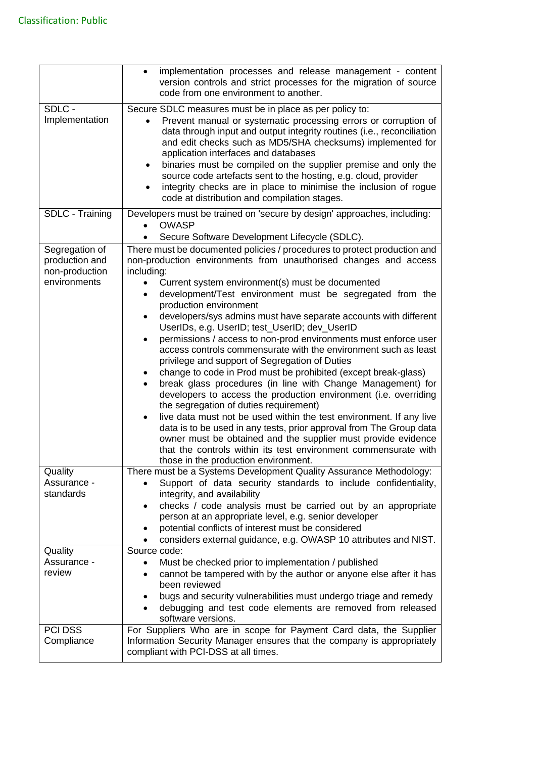|                                                                    | implementation processes and release management - content<br>$\bullet$<br>version controls and strict processes for the migration of source<br>code from one environment to another.                                                                                                                                                                                                                                                                                                                                                                                                                                                                                                                                                                                                                                                                                                                                                                                                                                                                                                                                                                                                                                 |
|--------------------------------------------------------------------|----------------------------------------------------------------------------------------------------------------------------------------------------------------------------------------------------------------------------------------------------------------------------------------------------------------------------------------------------------------------------------------------------------------------------------------------------------------------------------------------------------------------------------------------------------------------------------------------------------------------------------------------------------------------------------------------------------------------------------------------------------------------------------------------------------------------------------------------------------------------------------------------------------------------------------------------------------------------------------------------------------------------------------------------------------------------------------------------------------------------------------------------------------------------------------------------------------------------|
| SDLC -<br>Implementation                                           | Secure SDLC measures must be in place as per policy to:<br>Prevent manual or systematic processing errors or corruption of<br>data through input and output integrity routines (i.e., reconciliation<br>and edit checks such as MD5/SHA checksums) implemented for<br>application interfaces and databases<br>binaries must be compiled on the supplier premise and only the<br>$\bullet$<br>source code artefacts sent to the hosting, e.g. cloud, provider<br>integrity checks are in place to minimise the inclusion of rogue<br>code at distribution and compilation stages.                                                                                                                                                                                                                                                                                                                                                                                                                                                                                                                                                                                                                                     |
| SDLC - Training                                                    | Developers must be trained on 'secure by design' approaches, including:<br><b>OWASP</b><br>Secure Software Development Lifecycle (SDLC).                                                                                                                                                                                                                                                                                                                                                                                                                                                                                                                                                                                                                                                                                                                                                                                                                                                                                                                                                                                                                                                                             |
| Segregation of<br>production and<br>non-production<br>environments | There must be documented policies / procedures to protect production and<br>non-production environments from unauthorised changes and access<br>including:<br>Current system environment(s) must be documented<br>development/Test environment must be segregated from the<br>production environment<br>developers/sys admins must have separate accounts with different<br>UserIDs, e.g. UserID; test_UserID; dev_UserID<br>permissions / access to non-prod environments must enforce user<br>$\bullet$<br>access controls commensurate with the environment such as least<br>privilege and support of Segregation of Duties<br>change to code in Prod must be prohibited (except break-glass)<br>break glass procedures (in line with Change Management) for<br>developers to access the production environment (i.e. overriding<br>the segregation of duties requirement)<br>live data must not be used within the test environment. If any live<br>$\bullet$<br>data is to be used in any tests, prior approval from The Group data<br>owner must be obtained and the supplier must provide evidence<br>that the controls within its test environment commensurate with<br>those in the production environment. |
| Quality<br>Assurance -<br>standards                                | There must be a Systems Development Quality Assurance Methodology:<br>Support of data security standards to include confidentiality,<br>integrity, and availability<br>checks / code analysis must be carried out by an appropriate<br>person at an appropriate level, e.g. senior developer<br>potential conflicts of interest must be considered<br>considers external guidance, e.g. OWASP 10 attributes and NIST.                                                                                                                                                                                                                                                                                                                                                                                                                                                                                                                                                                                                                                                                                                                                                                                                |
| Quality<br>Assurance -<br>review                                   | Source code:<br>Must be checked prior to implementation / published<br>$\bullet$<br>cannot be tampered with by the author or anyone else after it has<br>$\bullet$<br>been reviewed<br>bugs and security vulnerabilities must undergo triage and remedy<br>debugging and test code elements are removed from released<br>software versions.                                                                                                                                                                                                                                                                                                                                                                                                                                                                                                                                                                                                                                                                                                                                                                                                                                                                          |
| <b>PCI DSS</b><br>Compliance                                       | For Suppliers Who are in scope for Payment Card data, the Supplier<br>Information Security Manager ensures that the company is appropriately<br>compliant with PCI-DSS at all times.                                                                                                                                                                                                                                                                                                                                                                                                                                                                                                                                                                                                                                                                                                                                                                                                                                                                                                                                                                                                                                 |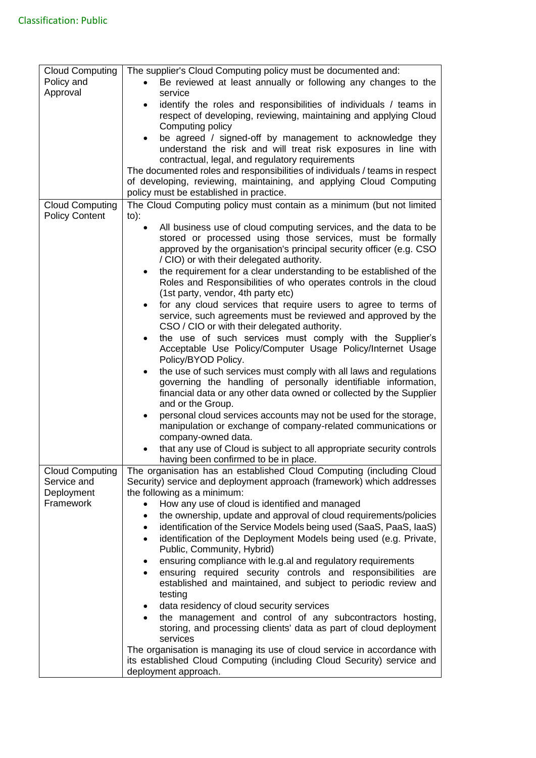| <b>Cloud Computing</b><br>Policy and<br>Approval                 | The supplier's Cloud Computing policy must be documented and:<br>Be reviewed at least annually or following any changes to the<br>service<br>identify the roles and responsibilities of individuals / teams in<br>$\bullet$<br>respect of developing, reviewing, maintaining and applying Cloud<br>Computing policy<br>be agreed / signed-off by management to acknowledge they<br>$\bullet$<br>understand the risk and will treat risk exposures in line with<br>contractual, legal, and regulatory requirements<br>The documented roles and responsibilities of individuals / teams in respect                                                                                                                                                                                                                                                                                                                                                                                                                                                                                                                                                                                                                                                                                                                                                                                                                                  |
|------------------------------------------------------------------|-----------------------------------------------------------------------------------------------------------------------------------------------------------------------------------------------------------------------------------------------------------------------------------------------------------------------------------------------------------------------------------------------------------------------------------------------------------------------------------------------------------------------------------------------------------------------------------------------------------------------------------------------------------------------------------------------------------------------------------------------------------------------------------------------------------------------------------------------------------------------------------------------------------------------------------------------------------------------------------------------------------------------------------------------------------------------------------------------------------------------------------------------------------------------------------------------------------------------------------------------------------------------------------------------------------------------------------------------------------------------------------------------------------------------------------|
|                                                                  | of developing, reviewing, maintaining, and applying Cloud Computing<br>policy must be established in practice.                                                                                                                                                                                                                                                                                                                                                                                                                                                                                                                                                                                                                                                                                                                                                                                                                                                                                                                                                                                                                                                                                                                                                                                                                                                                                                                    |
| <b>Cloud Computing</b><br><b>Policy Content</b>                  | The Cloud Computing policy must contain as a minimum (but not limited<br>$to)$ :<br>All business use of cloud computing services, and the data to be<br>$\bullet$<br>stored or processed using those services, must be formally<br>approved by the organisation's principal security officer (e.g. CSO<br>/ CIO) or with their delegated authority.<br>the requirement for a clear understanding to be established of the<br>$\bullet$<br>Roles and Responsibilities of who operates controls in the cloud<br>(1st party, vendor, 4th party etc)<br>for any cloud services that require users to agree to terms of<br>service, such agreements must be reviewed and approved by the<br>CSO / CIO or with their delegated authority.<br>the use of such services must comply with the Supplier's<br>$\bullet$<br>Acceptable Use Policy/Computer Usage Policy/Internet Usage<br>Policy/BYOD Policy.<br>the use of such services must comply with all laws and regulations<br>governing the handling of personally identifiable information,<br>financial data or any other data owned or collected by the Supplier<br>and or the Group.<br>personal cloud services accounts may not be used for the storage,<br>$\bullet$<br>manipulation or exchange of company-related communications or<br>company-owned data.<br>that any use of Cloud is subject to all appropriate security controls<br>having been confirmed to be in place. |
| <b>Cloud Computing</b><br>Service and<br>Deployment<br>Framework | The organisation has an established Cloud Computing (including Cloud<br>Security) service and deployment approach (framework) which addresses<br>the following as a minimum:<br>How any use of cloud is identified and managed<br>the ownership, update and approval of cloud requirements/policies<br>$\bullet$<br>identification of the Service Models being used (SaaS, PaaS, IaaS)<br>$\bullet$<br>identification of the Deployment Models being used (e.g. Private,<br>$\bullet$<br>Public, Community, Hybrid)<br>ensuring compliance with le.g.al and regulatory requirements<br>٠<br>ensuring required security controls and responsibilities are<br>established and maintained, and subject to periodic review and<br>testing<br>data residency of cloud security services<br>$\bullet$<br>the management and control of any subcontractors hosting,<br>storing, and processing clients' data as part of cloud deployment<br>services<br>The organisation is managing its use of cloud service in accordance with<br>its established Cloud Computing (including Cloud Security) service and<br>deployment approach.                                                                                                                                                                                                                                                                                                       |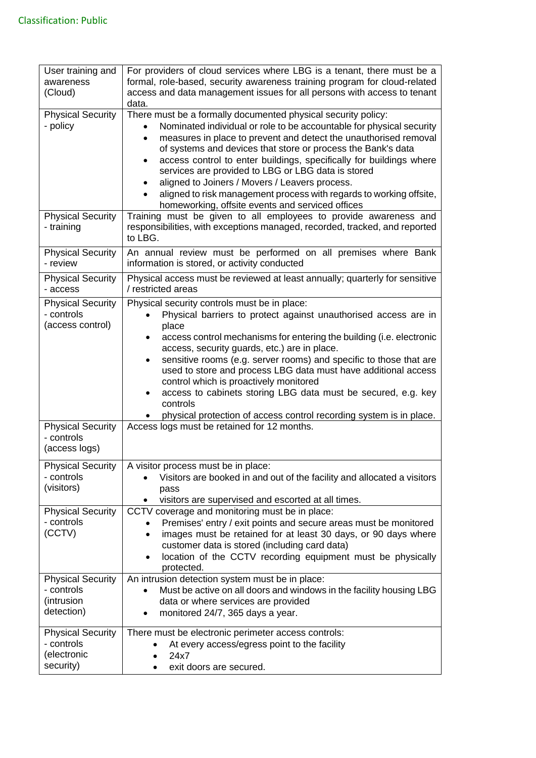| User training and<br>awareness<br>(Cloud)                          | For providers of cloud services where LBG is a tenant, there must be a<br>formal, role-based, security awareness training program for cloud-related<br>access and data management issues for all persons with access to tenant<br>data.                                                                                                                                                                                                                                                                                                                                                                                       |
|--------------------------------------------------------------------|-------------------------------------------------------------------------------------------------------------------------------------------------------------------------------------------------------------------------------------------------------------------------------------------------------------------------------------------------------------------------------------------------------------------------------------------------------------------------------------------------------------------------------------------------------------------------------------------------------------------------------|
| <b>Physical Security</b><br>- policy                               | There must be a formally documented physical security policy:<br>Nominated individual or role to be accountable for physical security<br>measures in place to prevent and detect the unauthorised removal<br>$\bullet$<br>of systems and devices that store or process the Bank's data<br>access control to enter buildings, specifically for buildings where<br>$\bullet$<br>services are provided to LBG or LBG data is stored<br>aligned to Joiners / Movers / Leavers process.<br>٠<br>aligned to risk management process with regards to working offsite,<br>homeworking, offsite events and serviced offices            |
| <b>Physical Security</b><br>- training                             | Training must be given to all employees to provide awareness and<br>responsibilities, with exceptions managed, recorded, tracked, and reported<br>to LBG.                                                                                                                                                                                                                                                                                                                                                                                                                                                                     |
| <b>Physical Security</b><br>- review                               | An annual review must be performed on all premises where Bank<br>information is stored, or activity conducted                                                                                                                                                                                                                                                                                                                                                                                                                                                                                                                 |
| <b>Physical Security</b><br>- access                               | Physical access must be reviewed at least annually; quarterly for sensitive<br>/ restricted areas                                                                                                                                                                                                                                                                                                                                                                                                                                                                                                                             |
| <b>Physical Security</b><br>- controls<br>(access control)         | Physical security controls must be in place:<br>Physical barriers to protect against unauthorised access are in<br>place<br>access control mechanisms for entering the building (i.e. electronic<br>$\bullet$<br>access, security guards, etc.) are in place.<br>sensitive rooms (e.g. server rooms) and specific to those that are<br>$\bullet$<br>used to store and process LBG data must have additional access<br>control which is proactively monitored<br>access to cabinets storing LBG data must be secured, e.g. key<br>$\bullet$<br>controls<br>physical protection of access control recording system is in place. |
| <b>Physical Security</b><br>- controls<br>(access logs)            | Access logs must be retained for 12 months.                                                                                                                                                                                                                                                                                                                                                                                                                                                                                                                                                                                   |
| <b>Physical Security</b><br>- controls<br>(visitors)               | A visitor process must be in place:<br>Visitors are booked in and out of the facility and allocated a visitors<br>pass<br>visitors are supervised and escorted at all times.                                                                                                                                                                                                                                                                                                                                                                                                                                                  |
| <b>Physical Security</b><br>- controls<br>(CCTV)                   | CCTV coverage and monitoring must be in place:<br>Premises' entry / exit points and secure areas must be monitored<br>images must be retained for at least 30 days, or 90 days where<br>$\bullet$<br>customer data is stored (including card data)<br>location of the CCTV recording equipment must be physically<br>$\bullet$<br>protected.                                                                                                                                                                                                                                                                                  |
| <b>Physical Security</b><br>- controls<br>(intrusion<br>detection) | An intrusion detection system must be in place:<br>Must be active on all doors and windows in the facility housing LBG<br>data or where services are provided<br>monitored 24/7, 365 days a year.<br>$\bullet$                                                                                                                                                                                                                                                                                                                                                                                                                |
| <b>Physical Security</b><br>- controls<br>(electronic<br>security) | There must be electronic perimeter access controls:<br>At every access/egress point to the facility<br>24x7<br>exit doors are secured.                                                                                                                                                                                                                                                                                                                                                                                                                                                                                        |